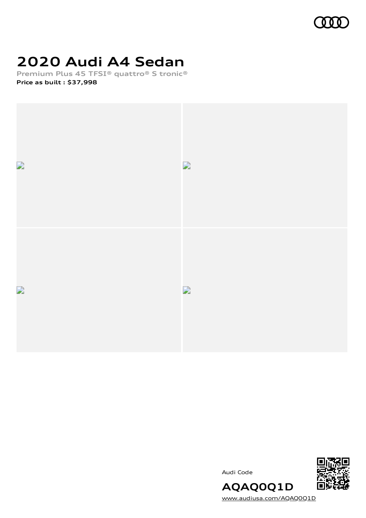

# **2020 Audi A4 Sedan**

**Premium Plus 45 TFSI® quattro® S tronic® Price as built [:](#page-8-0) \$37,998**







[www.audiusa.com/AQAQ0Q1D](https://www.audiusa.com/AQAQ0Q1D)

**AQAQ0Q1D**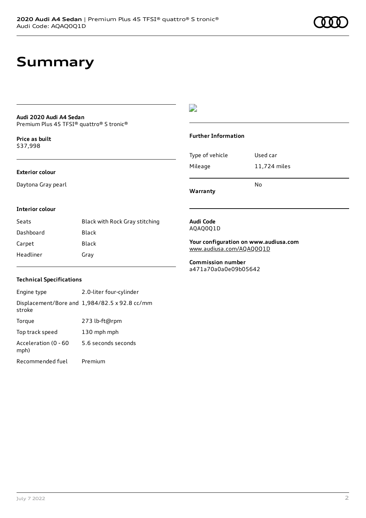## **Summary**

#### **Audi 2020 Audi A4 Sedan** Premium Plus 45 TFSI® quattro® S tronic®

**Price as buil[t](#page-8-0)** \$37,998

### **Exterior colour**

Daytona Gray pearl

### $\overline{\phantom{a}}$

#### **Further Information**

|                 | No           |
|-----------------|--------------|
| Mileage         | 11,724 miles |
| Type of vehicle | Used car     |

**Warranty**

#### **Interior colour**

| Seats     | Black with Rock Gray stitching |
|-----------|--------------------------------|
| Dashboard | Black                          |
| Carpet    | Black                          |
| Headliner | Gray                           |

#### **Audi Code** AQAQ0Q1D

**Your configuration on www.audiusa.com** [www.audiusa.com/AQAQ0Q1D](https://www.audiusa.com/AQAQ0Q1D)

**Commission number** a471a70a0a0e09b05642

### **Technical Specifications**

| Engine type                  | 2.0-liter four-cylinder                       |
|------------------------------|-----------------------------------------------|
| stroke                       | Displacement/Bore and 1,984/82.5 x 92.8 cc/mm |
| Torque                       | 273 lb-ft@rpm                                 |
| Top track speed              | 130 mph mph                                   |
| Acceleration (0 - 60<br>mph) | 5.6 seconds seconds                           |
| Recommended fuel             | Premium                                       |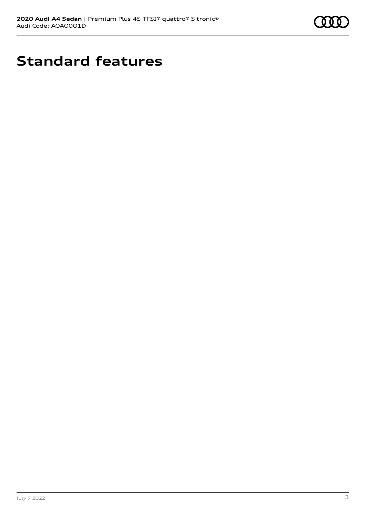

# **Standard features**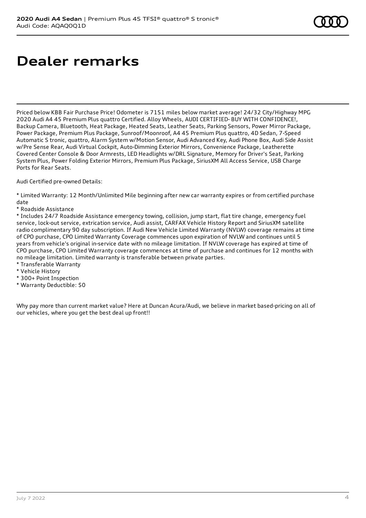# **Dealer remarks**

Priced below KBB Fair Purchase Price! Odometer is 7151 miles below market average! 24/32 City/Highway MPG 2020 Audi A4 45 Premium Plus quattro Certified. Alloy Wheels, AUDI CERTIFIED- BUY WITH CONFIDENCE!, Backup Camera, Bluetooth, Heat Package, Heated Seats, Leather Seats, Parking Sensors, Power Mirror Package, Power Package, Premium Plus Package, Sunroof/Moonroof, A4 45 Premium Plus quattro, 4D Sedan, 7-Speed Automatic S tronic, quattro, Alarm System w/Motion Sensor, Audi Advanced Key, Audi Phone Box, Audi Side Assist w/Pre Sense Rear, Audi Virtual Cockpit, Auto-Dimming Exterior Mirrors, Convenience Package, Leatherette Covered Center Console & Door Armrests, LED Headlights w/DRL Signature, Memory for Driver's Seat, Parking System Plus, Power Folding Exterior Mirrors, Premium Plus Package, SiriusXM All Access Service, USB Charge Ports for Rear Seats.

Audi Certified pre-owned Details:

\* Limited Warranty: 12 Month/Unlimited Mile beginning after new car warranty expires or from certified purchase date

\* Roadside Assistance

\* Includes 24/7 Roadside Assistance emergency towing, collision, jump start, flat tire change, emergency fuel service, lock-out service, extrication service, Audi assist, CARFAX Vehicle History Report and SiriusXM satellite radio complimentary 90 day subscription. If Audi New Vehicle Limited Warranty (NVLW) coverage remains at time of CPO purchase, CPO Limited Warranty Coverage commences upon expiration of NVLW and continues until 5 years from vehicle's original in-service date with no mileage limitation. If NVLW coverage has expired at time of CPO purchase, CPO Limited Warranty coverage commences at time of purchase and continues for 12 months with no mileage limitation. Limited warranty is transferable between private parties.

- \* Transferable Warranty
- \* Vehicle History
- \* 300+ Point Inspection
- \* Warranty Deductible: \$0

Why pay more than current market value? Here at Duncan Acura/Audi, we believe in market based-pricing on all of our vehicles, where you get the best deal up front!!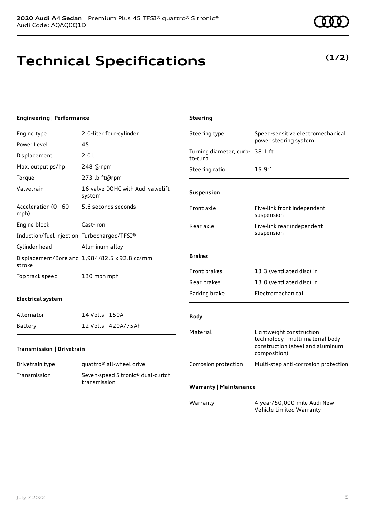**(1/2)**

## **Technical Specifications**

### **Engineering | Performance**

| Engine type                                 | 2.0-liter four-cylinder                                       | Steering type                              | Speed-sensitive electromechanical                                                                                |
|---------------------------------------------|---------------------------------------------------------------|--------------------------------------------|------------------------------------------------------------------------------------------------------------------|
| Power Level                                 | 45                                                            |                                            | power steering system                                                                                            |
| Displacement                                | 2.01                                                          | Turning diameter, curb- 38.1 ft<br>to-curb |                                                                                                                  |
| Max. output ps/hp                           | 248 @ rpm                                                     | Steering ratio                             | 15.9:1                                                                                                           |
| Torque                                      | 273 lb-ft@rpm                                                 |                                            |                                                                                                                  |
| Valvetrain                                  | 16-valve DOHC with Audi valvelift<br>system                   | Suspension                                 |                                                                                                                  |
| Acceleration (0 - 60<br>mph)                | 5.6 seconds seconds                                           | Front axle                                 | Five-link front independent<br>suspension                                                                        |
| Engine block                                | Cast-iron                                                     | Rear axle                                  | Five-link rear independent                                                                                       |
| Induction/fuel injection Turbocharged/TFSI® |                                                               |                                            | suspension                                                                                                       |
| Cylinder head                               | Aluminum-alloy                                                |                                            |                                                                                                                  |
| stroke                                      | Displacement/Bore and 1,984/82.5 x 92.8 cc/mm                 | <b>Brakes</b>                              |                                                                                                                  |
| Top track speed                             | 130 mph mph                                                   | <b>Front brakes</b>                        | 13.3 (ventilated disc) in                                                                                        |
|                                             |                                                               | Rear brakes                                | 13.0 (ventilated disc) in                                                                                        |
| <b>Electrical system</b>                    |                                                               | Parking brake                              | Electromechanical                                                                                                |
| Alternator                                  | 14 Volts - 150A                                               | <b>Body</b>                                |                                                                                                                  |
| Battery                                     | 12 Volts - 420A/75Ah                                          |                                            |                                                                                                                  |
| Transmission   Drivetrain                   |                                                               | Material                                   | Lightweight construction<br>technology - multi-material body<br>construction (steel and aluminum<br>composition) |
| Drivetrain type                             | quattro <sup>®</sup> all-wheel drive                          | Corrosion protection                       | Multi-step anti-corrosion protection                                                                             |
| Transmission                                | Seven-speed S tronic <sup>®</sup> dual-clutch<br>transmission | <b>Warranty   Maintenance</b>              |                                                                                                                  |
|                                             |                                                               | Warranty                                   | 4-year/50,000-mile Audi New<br>Vehicle Limited Warranty                                                          |

**Steering**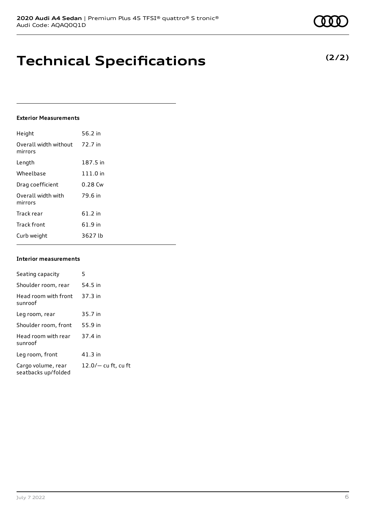**Technical Specifications**

### **Exterior Measurements**

| Height                           | 56.2 in   |
|----------------------------------|-----------|
| Overall width without<br>mirrors | 72.7 in   |
| Length                           | 187.5 in  |
| Wheelbase                        | 111.0 in  |
| Drag coefficient                 | $0.28$ Cw |
| Overall width with<br>mirrors    | 79.6 in   |
| Track rear                       | 61.2 in   |
| <b>Track front</b>               | 61.9 in   |
| Curb weight                      | 3627 lb   |

#### **Interior measurements**

| Seating capacity                          | 5                     |
|-------------------------------------------|-----------------------|
| Shoulder room, rear                       | 54.5 in               |
| Head room with front<br>sunroof           | 37.3 in               |
| Leg room, rear                            | 35.7 in               |
| Shoulder room, front                      | 55.9 in               |
| Head room with rear<br>sunroof            | 37.4 in               |
| Leg room, front                           | $41.3$ in             |
| Cargo volume, rear<br>seatbacks up/folded | $12.0/-$ cu ft, cu ft |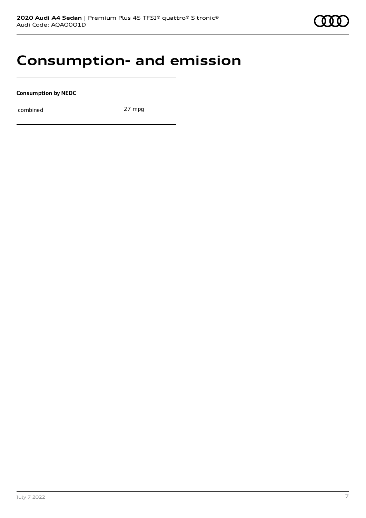### **Consumption- and emission**

**Consumption by NEDC**

combined 27 mpg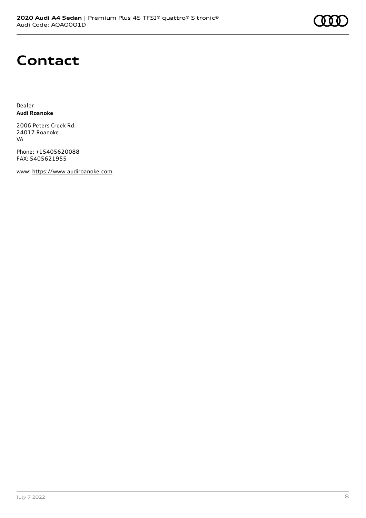# **Contact**

Dealer **Audi Roanoke**

2006 Peters Creek Rd. 24017 Roanoke VA

Phone: +15405620088 FAX: 5405621955

www: [https://www.audiroanoke.com](https://www.audiroanoke.com/)